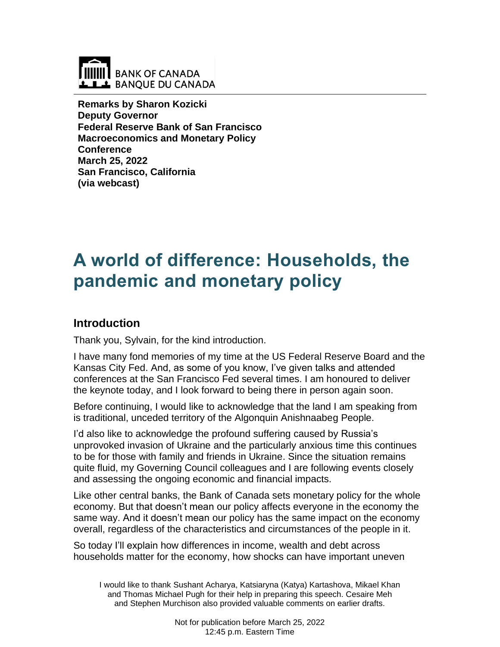

**Remarks by Sharon Kozicki Deputy Governor Federal Reserve Bank of San Francisco Macroeconomics and Monetary Policy Conference March 25, 2022 San Francisco, California (via webcast)**

# **A world of difference: Households, the pandemic and monetary policy**

## **Introduction**

Thank you, Sylvain, for the kind introduction.

I have many fond memories of my time at the US Federal Reserve Board and the Kansas City Fed. And, as some of you know, I've given talks and attended conferences at the San Francisco Fed several times. I am honoured to deliver the keynote today, and I look forward to being there in person again soon.

Before continuing, I would like to acknowledge that the land I am speaking from is traditional, unceded territory of the Algonquin Anishnaabeg People.

I'd also like to acknowledge the profound suffering caused by Russia's unprovoked invasion of Ukraine and the particularly anxious time this continues to be for those with family and friends in Ukraine. Since the situation remains quite fluid, my Governing Council colleagues and I are following events closely and assessing the ongoing economic and financial impacts.

Like other central banks, the Bank of Canada sets monetary policy for the whole economy. But that doesn't mean our policy affects everyone in the economy the same way. And it doesn't mean our policy has the same impact on the economy overall, regardless of the characteristics and circumstances of the people in it.

So today I'll explain how differences in income, wealth and debt across households matter for the economy, how shocks can have important uneven

I would like to thank Sushant Acharya, Katsiaryna (Katya) Kartashova, Mikael Khan and Thomas Michael Pugh for their help in preparing this speech. Cesaire Meh and Stephen Murchison also provided valuable comments on earlier drafts.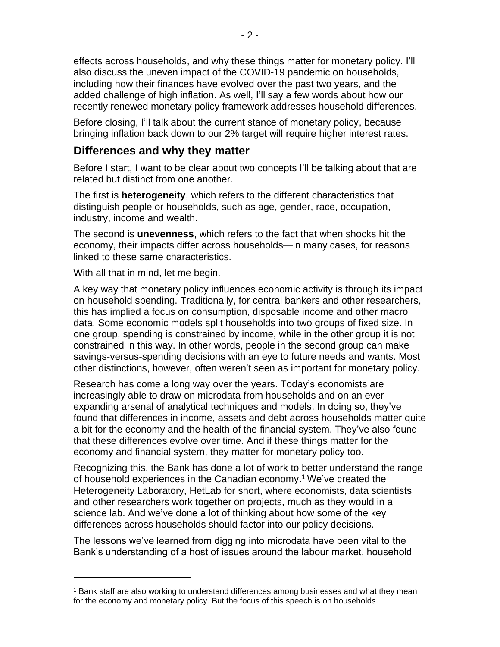effects across households, and why these things matter for monetary policy. I'll also discuss the uneven impact of the COVID-19 pandemic on households, including how their finances have evolved over the past two years, and the added challenge of high inflation. As well, I'll say a few words about how our recently renewed monetary policy framework addresses household differences.

Before closing, I'll talk about the current stance of monetary policy, because bringing inflation back down to our 2% target will require higher interest rates.

# **Differences and why they matter**

Before I start, I want to be clear about two concepts I'll be talking about that are related but distinct from one another.

The first is **heterogeneity**, which refers to the different characteristics that distinguish people or households, such as age, gender, race, occupation, industry, income and wealth.

The second is **unevenness**, which refers to the fact that when shocks hit the economy, their impacts differ across households—in many cases, for reasons linked to these same characteristics.

With all that in mind, let me begin.

A key way that monetary policy influences economic activity is through its impact on household spending. Traditionally, for central bankers and other researchers, this has implied a focus on consumption, disposable income and other macro data. Some economic models split households into two groups of fixed size. In one group, spending is constrained by income, while in the other group it is not constrained in this way. In other words, people in the second group can make savings-versus-spending decisions with an eye to future needs and wants. Most other distinctions, however, often weren't seen as important for monetary policy.

Research has come a long way over the years. Today's economists are increasingly able to draw on microdata from households and on an everexpanding arsenal of analytical techniques and models. In doing so, they've found that differences in income, assets and debt across households matter quite a bit for the economy and the health of the financial system. They've also found that these differences evolve over time. And if these things matter for the economy and financial system, they matter for monetary policy too.

Recognizing this, the Bank has done a lot of work to better understand the range of household experiences in the Canadian economy. <sup>1</sup> We've created the Heterogeneity Laboratory, HetLab for short, where economists, data scientists and other researchers work together on projects, much as they would in a science lab. And we've done a lot of thinking about how some of the key differences across households should factor into our policy decisions.

The lessons we've learned from digging into microdata have been vital to the Bank's understanding of a host of issues around the labour market, household

<sup>1</sup> Bank staff are also working to understand differences among businesses and what they mean for the economy and monetary policy. But the focus of this speech is on households.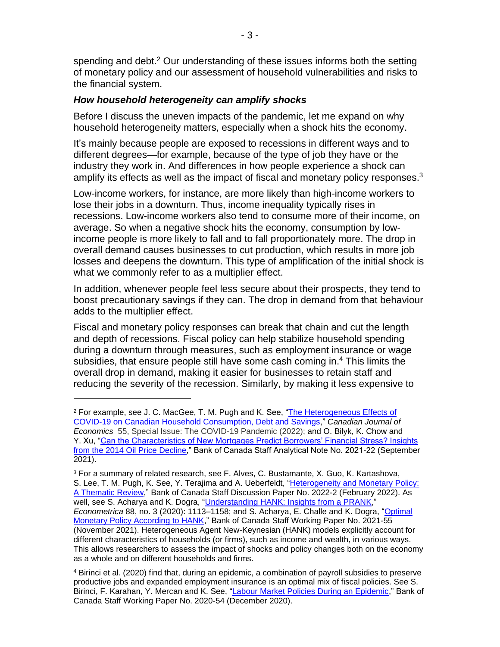spending and debt.<sup>2</sup> Our understanding of these issues informs both the setting of monetary policy and our assessment of household vulnerabilities and risks to the financial system.

#### *How household heterogeneity can amplify shocks*

Before I discuss the uneven impacts of the pandemic, let me expand on why household heterogeneity matters, especially when a shock hits the economy.

It's mainly because people are exposed to recessions in different ways and to different degrees—for example, because of the type of job they have or the industry they work in. And differences in how people experience a shock can amplify its effects as well as the impact of fiscal and monetary policy responses.<sup>3</sup>

Low-income workers, for instance, are more likely than high-income workers to lose their jobs in a downturn. Thus, income inequality typically rises in recessions. Low-income workers also tend to consume more of their income, on average. So when a negative shock hits the economy, consumption by lowincome people is more likely to fall and to fall proportionately more. The drop in overall demand causes businesses to cut production, which results in more job losses and deepens the downturn. This type of amplification of the initial shock is what we commonly refer to as a multiplier effect.

In addition, whenever people feel less secure about their prospects, they tend to boost precautionary savings if they can. The drop in demand from that behaviour adds to the multiplier effect.

Fiscal and monetary policy responses can break that chain and cut the length and depth of recessions. Fiscal policy can help stabilize household spending during a downturn through measures, such as employment insurance or wage subsidies, that ensure people still have some cash coming in. <sup>4</sup> This limits the overall drop in demand, making it easier for businesses to retain staff and reducing the severity of the recession. Similarly, by making it less expensive to

<sup>2</sup> For example, see J. C. MacGee, T. M. Pugh and K. See, ["The Heterogeneous Effects of](https://onlinelibrary.wiley.com/doi/10.1111/caje.12546)  [COVID-19 on Canadian Household Consumption, Debt and Savings,](https://onlinelibrary.wiley.com/doi/10.1111/caje.12546)" *Canadian Journal of Economics* 55, Special Issue: The COVID-19 Pandemic (2022); and O. Bilyk, K. Chow and Y. Xu, ["Can the Characteristics of New Mortgages Predict Borrowers' Financial Stress? Insights](http://www.bankofcanada.ca/?p=222884)  [from the 2014 Oil Price Decline,](http://www.bankofcanada.ca/?p=222884)" Bank of Canada Staff Analytical Note No. 2021-22 (September 2021).

<sup>&</sup>lt;sup>3</sup> For a summary of related research, see F. Alves, C. Bustamante, X. Guo, K. Kartashova, S. Lee, T. M. Pugh, K. See, Y. Terajima and A. Ueberfeldt, "Heterogeneity and Monetary Policy: [A Thematic Review,](http://www.bankofcanada.ca/?p=224953)" Bank of Canada Staff Discussion Paper No. 2022-2 (February 2022). As well, see S. Acharya and K. Dogra, ["Understanding HANK: Insights from a PRANK,](https://onlinelibrary.wiley.com/doi/full/10.3982/ECTA16409)" *Econometrica* 88, no. 3 (2020): 1113–1158; and S. Acharya, E. Challe and K. Dogra, ["Optimal](http://www.bankofcanada.ca/?p=223440)  [Monetary Policy According to HANK,](http://www.bankofcanada.ca/?p=223440)" Bank of Canada Staff Working Paper No. 2021-55 (November 2021). Heterogeneous Agent New-Keynesian (HANK) models explicitly account for different characteristics of households (or firms), such as income and wealth, in various ways. This allows researchers to assess the impact of shocks and policy changes both on the economy as a whole and on different households and firms.

<sup>4</sup> Birinci et al. (2020) find that, during an epidemic, a combination of payroll subsidies to preserve productive jobs and expanded employment insurance is an optimal mix of fiscal policies. See S. Birinci, F. Karahan, Y. Mercan and K. See, ["Labour Market Policies During an Epidemic,](http://www.bankofcanada.ca/?p=217754)" Bank of Canada Staff Working Paper No. 2020-54 (December 2020).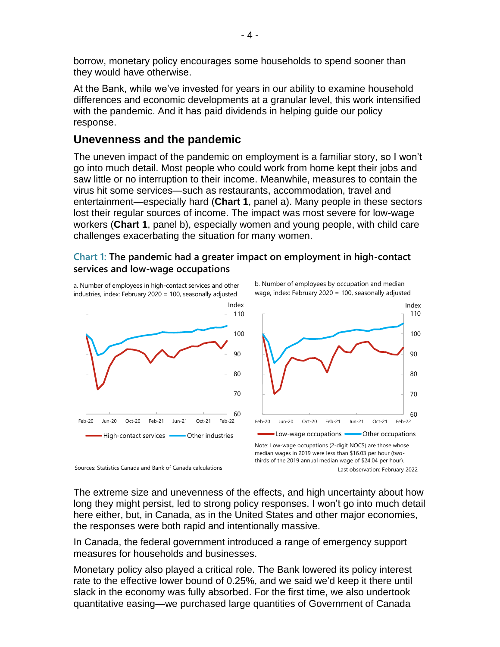borrow, monetary policy encourages some households to spend sooner than they would have otherwise.

At the Bank, while we've invested for years in our ability to examine household differences and economic developments at a granular level, this work intensified with the pandemic. And it has paid dividends in helping guide our policy response.

## **Unevenness and the pandemic**

The uneven impact of the pandemic on employment is a familiar story, so I won't go into much detail. Most people who could work from home kept their jobs and saw little or no interruption to their income. Meanwhile, measures to contain the virus hit some services—such as restaurants, accommodation, travel and entertainment—especially hard (**Chart 1**, panel a). Many people in these sectors lost their regular sources of income. The impact was most severe for low-wage workers (**Chart 1**, panel b), especially women and young people, with child care challenges exacerbating the situation for many women.

#### **Chart 1: The pandemic had a greater impact on employment in high-contact services and low-wage occupations**

a. Number of employees in high-contact services and other industries, index: February 2020 = 100, seasonally adjusted



Sources: Statistics Canada and Bank of Canada calculations

b. Number of employees by occupation and median wage, index: February 2020 = 100, seasonally adjusted



The extreme size and unevenness of the effects, and high uncertainty about how long they might persist, led to strong policy responses. I won't go into much detail here either, but, in Canada, as in the United States and other major economies, the responses were both rapid and intentionally massive.

In Canada, the federal government introduced a range of emergency support measures for households and businesses.

Monetary policy also played a critical role. The Bank lowered its policy interest rate to the effective lower bound of 0.25%, and we said we'd keep it there until slack in the economy was fully absorbed. For the first time, we also undertook quantitative easing—we purchased large quantities of Government of Canada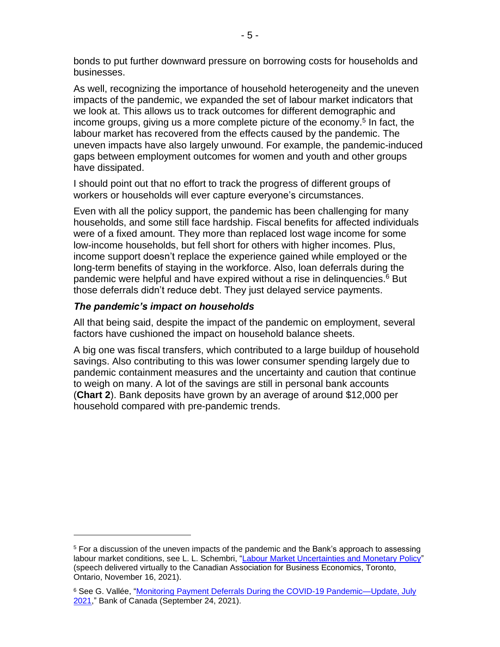bonds to put further downward pressure on borrowing costs for households and businesses.

As well, recognizing the importance of household heterogeneity and the uneven impacts of the pandemic, we expanded the set of labour market indicators that we look at. This allows us to track outcomes for different demographic and income groups, giving us a more complete picture of the economy. 5 In fact, the labour market has recovered from the effects caused by the pandemic. The uneven impacts have also largely unwound. For example, the pandemic-induced gaps between employment outcomes for women and youth and other groups have dissipated.

I should point out that no effort to track the progress of different groups of workers or households will ever capture everyone's circumstances.

Even with all the policy support, the pandemic has been challenging for many households, and some still face hardship. Fiscal benefits for affected individuals were of a fixed amount. They more than replaced lost wage income for some low-income households, but fell short for others with higher incomes. Plus, income support doesn't replace the experience gained while employed or the long-term benefits of staying in the workforce. Also, loan deferrals during the pandemic were helpful and have expired without a rise in delinquencies. <sup>6</sup> But those deferrals didn't reduce debt. They just delayed service payments.

### *The pandemic's impact on households*

All that being said, despite the impact of the pandemic on employment, several factors have cushioned the impact on household balance sheets.

A big one was fiscal transfers, which contributed to a large buildup of household savings. Also contributing to this was lower consumer spending largely due to pandemic containment measures and the uncertainty and caution that continue to weigh on many. A lot of the savings are still in personal bank accounts (**Chart 2**). Bank deposits have grown by an average of around \$12,000 per household compared with pre-pandemic trends.

<sup>&</sup>lt;sup>5</sup> For a discussion of the uneven impacts of the pandemic and the Bank's approach to assessing labour market conditions, see L. L. Schembri, ["Labour Market Uncertainties and Monetary Policy"](http://www.bankofcanada.ca/?p=223560) (speech delivered virtually to the Canadian Association for Business Economics, Toronto, Ontario, November 16, 2021).

<sup>&</sup>lt;sup>6</sup> See G. Vallée, "Monitoring Payment Deferrals During the COVID-19 Pandemic—Update, July [2021,](http://www.bankofcanada.ca/?p=222913)" Bank of Canada (September 24, 2021).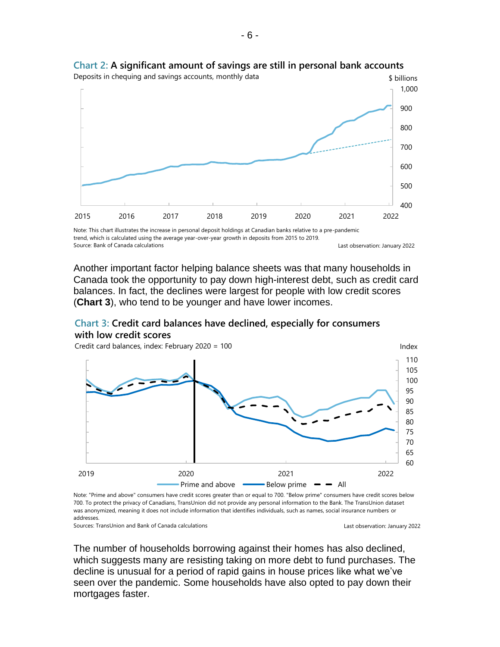

## **Chart 2: A significant amount of savings are still in personal bank accounts**

Another important factor helping balance sheets was that many households in Canada took the opportunity to pay down high-interest debt, such as credit card balances. In fact, the declines were largest for people with low credit scores (**Chart 3**), who tend to be younger and have lower incomes.

#### **Chart 3: Credit card balances have declined, especially for consumers with low credit scores**

60 65 70 75 80 85 90 95 100 105 110 2019 2020 2021 2022 Index Prime and above  $\longrightarrow$  Below prime  $\rightarrow$  All Credit card balances, index: February 2020 = 100

Note: "Prime and above" consumers have credit scores greater than or equal to 700. "Below prime" consumers have credit scores below 700. To protect the privacy of Canadians, TransUnion did not provide any personal information to the Bank. The TransUnion dataset was anonymized, meaning it does not include information that identifies individuals, such as names, social insurance numbers or addresses.

Sources: TransUnion and Bank of Canada calculations

The number of households borrowing against their homes has also declined, which suggests many are resisting taking on more debt to fund purchases. The decline is unusual for a period of rapid gains in house prices like what we've seen over the pandemic. Some households have also opted to pay down their mortgages faster.

Last observation: January 2022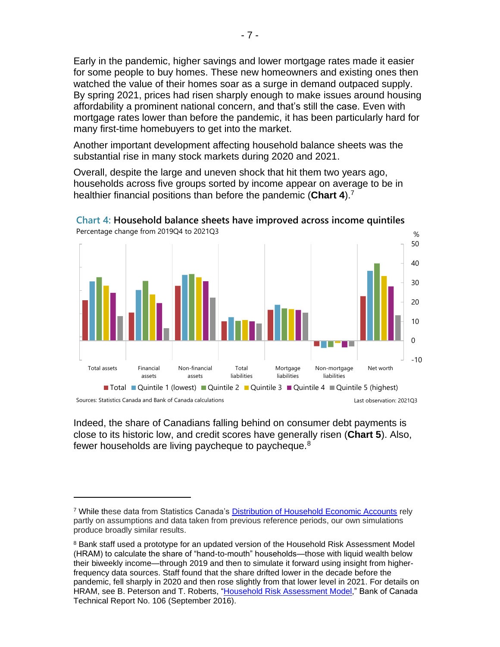Early in the pandemic, higher savings and lower mortgage rates made it easier for some people to buy homes. These new homeowners and existing ones then watched the value of their homes soar as a surge in demand outpaced supply. By spring 2021, prices had risen sharply enough to make issues around housing affordability a prominent national concern, and that's still the case. Even with mortgage rates lower than before the pandemic, it has been particularly hard for many first-time homebuyers to get into the market.

Another important development affecting household balance sheets was the substantial rise in many stock markets during 2020 and 2021.

Overall, despite the large and uneven shock that hit them two years ago, households across five groups sorted by income appear on average to be in healthier financial positions than before the pandemic (**Chart 4**). 7



**Chart 4: Household balance sheets have improved across income quintiles** Percentage change from 2019Q4 to 2021Q3

Indeed, the share of Canadians falling behind on consumer debt payments is close to its historic low, and credit scores have generally risen (**Chart 5**). Also, fewer households are living paycheque to paycheque.<sup>8</sup>

<sup>7</sup> While these data from Statistics Canada's [Distribution of Household Economic Accounts](https://www150.statcan.gc.ca/t1/tbl1/en/tv.action?pid=3610066001&pickMembers%5B0%5D=1.1&pickMembers%5B1%5D=2.1&pickMembers%5B2%5D=3.2&cubeTimeFrame.startMonth=07&cubeTimeFrame.startYear=2021&cubeTimeFrame.endMonth=07&cubeTimeFrame.endYear=2021&referencePeriods=20210701%2C20210701) rely partly on assumptions and data taken from previous reference periods, our own simulations produce broadly similar results.

<sup>&</sup>lt;sup>8</sup> Bank staff used a prototype for an updated version of the Household Risk Assessment Model (HRAM) to calculate the share of "hand-to-mouth" households—those with liquid wealth below their biweekly income—through 2019 and then to simulate it forward using insight from higherfrequency data sources. Staff found that the share drifted lower in the decade before the pandemic, fell sharply in 2020 and then rose slightly from that lower level in 2021. For details on HRAM, see B. Peterson and T. Roberts, ["Household Risk Assessment Model,"](http://www.bankofcanada.ca/?p=187632) Bank of Canada Technical Report No. 106 (September 2016).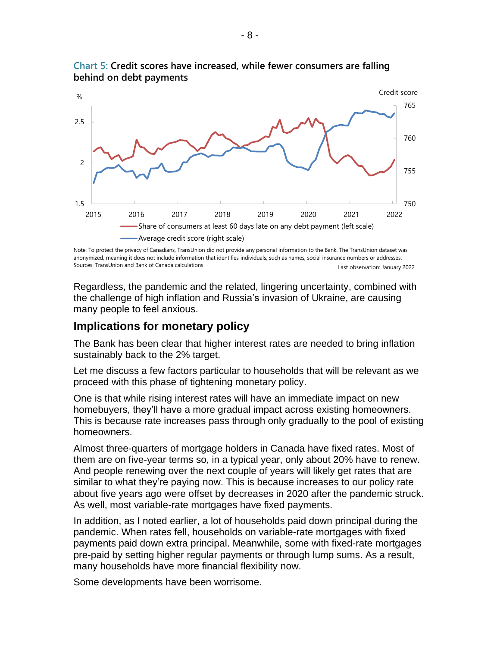

**Chart 5: Credit scores have increased, while fewer consumers are falling behind on debt payments**

Last observation: January 2022 Note: To protect the privacy of Canadians, TransUnion did not provide any personal information to the Bank. The TransUnion dataset was anonymized, meaning it does not include information that identifies individuals, such as names, social insurance numbers or addresses. Sources: TransUnion and Bank of Canada calculations

Regardless, the pandemic and the related, lingering uncertainty, combined with the challenge of high inflation and Russia's invasion of Ukraine, are causing many people to feel anxious.

## **Implications for monetary policy**

The Bank has been clear that higher interest rates are needed to bring inflation sustainably back to the 2% target.

Let me discuss a few factors particular to households that will be relevant as we proceed with this phase of tightening monetary policy.

One is that while rising interest rates will have an immediate impact on new homebuyers, they'll have a more gradual impact across existing homeowners. This is because rate increases pass through only gradually to the pool of existing homeowners.

Almost three-quarters of mortgage holders in Canada have fixed rates. Most of them are on five-year terms so, in a typical year, only about 20% have to renew. And people renewing over the next couple of years will likely get rates that are similar to what they're paying now. This is because increases to our policy rate about five years ago were offset by decreases in 2020 after the pandemic struck. As well, most variable-rate mortgages have fixed payments.

In addition, as I noted earlier, a lot of households paid down principal during the pandemic. When rates fell, households on variable-rate mortgages with fixed payments paid down extra principal. Meanwhile, some with fixed-rate mortgages pre-paid by setting higher regular payments or through lump sums. As a result, many households have more financial flexibility now.

Some developments have been worrisome.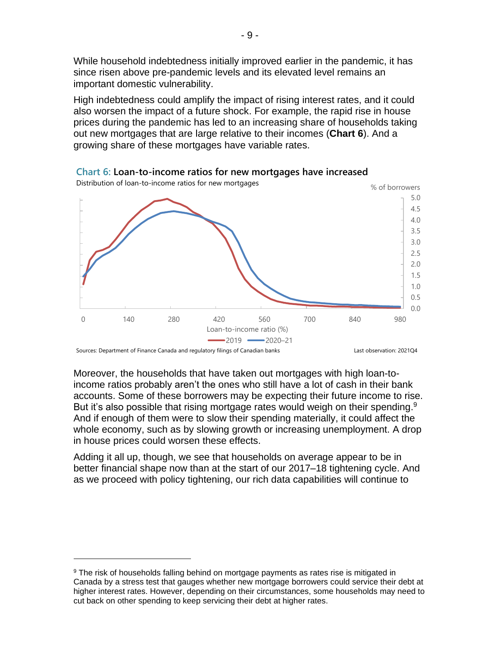While household indebtedness initially improved earlier in the pandemic, it has since risen above pre-pandemic levels and its elevated level remains an important domestic vulnerability.

High indebtedness could amplify the impact of rising interest rates, and it could also worsen the impact of a future shock. For example, the rapid rise in house prices during the pandemic has led to an increasing share of households taking out new mortgages that are large relative to their incomes (**Chart 6**). And a growing share of these mortgages have variable rates.



**Chart 6: Loan-to-income ratios for new mortgages have increased**

Moreover, the households that have taken out mortgages with high loan-toincome ratios probably aren't the ones who still have a lot of cash in their bank accounts. Some of these borrowers may be expecting their future income to rise. But it's also possible that rising mortgage rates would weigh on their spending.<sup>9</sup> And if enough of them were to slow their spending materially, it could affect the whole economy, such as by slowing growth or increasing unemployment. A drop in house prices could worsen these effects.

Adding it all up, though, we see that households on average appear to be in better financial shape now than at the start of our 2017–18 tightening cycle. And as we proceed with policy tightening, our rich data capabilities will continue to

<sup>&</sup>lt;sup>9</sup> The risk of households falling behind on mortgage payments as rates rise is mitigated in Canada by a stress test that gauges whether new mortgage borrowers could service their debt at higher interest rates. However, depending on their circumstances, some households may need to cut back on other spending to keep servicing their debt at higher rates.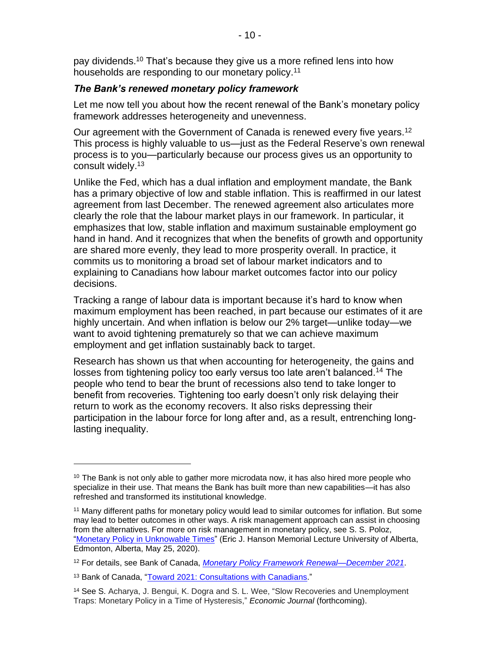pay dividends.<sup>10</sup> That's because they give us a more refined lens into how households are responding to our monetary policy.<sup>11</sup>

#### *The Bank's renewed monetary policy framework*

Let me now tell you about how the recent renewal of the Bank's monetary policy framework addresses heterogeneity and unevenness.

Our agreement with the Government of Canada is renewed every five years.<sup>12</sup> This process is highly valuable to us—just as the Federal Reserve's own renewal process is to you—particularly because our process gives us an opportunity to consult widely.<sup>13</sup>

Unlike the Fed, which has a dual inflation and employment mandate, the Bank has a primary objective of low and stable inflation. This is reaffirmed in our latest agreement from last December. The renewed agreement also articulates more clearly the role that the labour market plays in our framework. In particular, it emphasizes that low, stable inflation and maximum sustainable employment go hand in hand. And it recognizes that when the benefits of growth and opportunity are shared more evenly, they lead to more prosperity overall. In practice, it commits us to monitoring a broad set of labour market indicators and to explaining to Canadians how labour market outcomes factor into our policy decisions.

Tracking a range of labour data is important because it's hard to know when maximum employment has been reached, in part because our estimates of it are highly uncertain. And when inflation is below our 2% target—unlike today—we want to avoid tightening prematurely so that we can achieve maximum employment and get inflation sustainably back to target.

Research has shown us that when accounting for heterogeneity, the gains and losses from tightening policy too early versus too late aren't balanced.<sup>14</sup> The people who tend to bear the brunt of recessions also tend to take longer to benefit from recoveries. Tightening too early doesn't only risk delaying their return to work as the economy recovers. It also risks depressing their participation in the labour force for long after and, as a result, entrenching longlasting inequality.

 $10$  The Bank is not only able to gather more microdata now, it has also hired more people who specialize in their use. That means the Bank has built more than new capabilities—it has also refreshed and transformed its institutional knowledge.

<sup>&</sup>lt;sup>11</sup> Many different paths for monetary policy would lead to similar outcomes for inflation. But some may lead to better outcomes in other ways. A risk management approach can assist in choosing from the alternatives. For more on risk management in monetary policy, see S. S. Poloz, ["Monetary Policy in Unknowable Times"](http://www.bankofcanada.ca/?p=212100) (Eric J. Hanson Memorial Lecture University of Alberta, [Edmonton, Alberta,](https://www.bankofcanada.ca/search/?location%5b%5d=edmonton_alberta) May 25, 2020).

<sup>12</sup> For details, see Bank of Canada, *[Monetary Policy Framework Renewal—December 2021](http://www.bankofcanada.ca/?p=224134)*.

<sup>13</sup> Bank of Canada, ["Toward 2021: Consultations with Canadians.](http://www.bankofcanada.ca/?p=220039)"

<sup>14</sup> See S. Acharya, J. Bengui, K. Dogra and S. L. Wee, "Slow Recoveries and Unemployment Traps: Monetary Policy in a Time of Hysteresis," *Economic Journal* (forthcoming).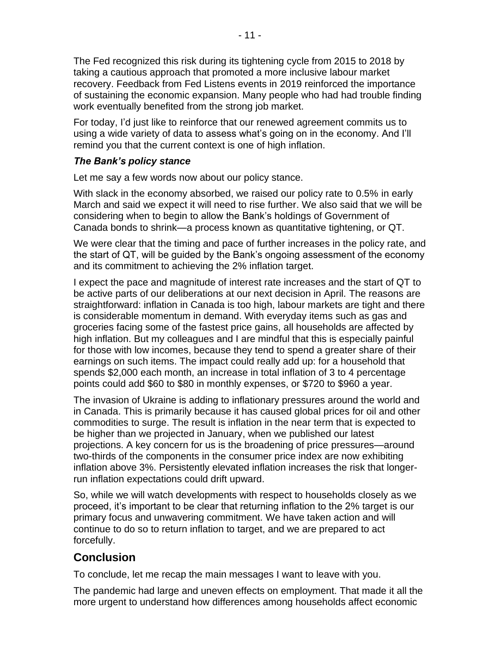The Fed recognized this risk during its tightening cycle from 2015 to 2018 by taking a cautious approach that promoted a more inclusive labour market recovery. Feedback from Fed Listens events in 2019 reinforced the importance of sustaining the economic expansion. Many people who had had trouble finding work eventually benefited from the strong job market.

For today, I'd just like to reinforce that our renewed agreement commits us to using a wide variety of data to assess what's going on in the economy. And I'll remind you that the current context is one of high inflation.

## *The Bank's policy stance*

Let me say a few words now about our policy stance.

With slack in the economy absorbed, we raised our policy rate to 0.5% in early March and said we expect it will need to rise further. We also said that we will be considering when to begin to allow the Bank's holdings of Government of Canada bonds to shrink—a process known as quantitative tightening, or QT.

We were clear that the timing and pace of further increases in the policy rate, and the start of QT, will be guided by the Bank's ongoing assessment of the economy and its commitment to achieving the 2% inflation target.

I expect the pace and magnitude of interest rate increases and the start of QT to be active parts of our deliberations at our next decision in April. The reasons are straightforward: inflation in Canada is too high, labour markets are tight and there is considerable momentum in demand. With everyday items such as gas and groceries facing some of the fastest price gains, all households are affected by high inflation. But my colleagues and I are mindful that this is especially painful for those with low incomes, because they tend to spend a greater share of their earnings on such items. The impact could really add up: for a household that spends \$2,000 each month, an increase in total inflation of 3 to 4 percentage points could add \$60 to \$80 in monthly expenses, or \$720 to \$960 a year.

The invasion of Ukraine is adding to inflationary pressures around the world and in Canada. This is primarily because it has caused global prices for oil and other commodities to surge. The result is inflation in the near term that is expected to be higher than we projected in January, when we published our latest projections. A key concern for us is the broadening of price pressures—around two-thirds of the components in the consumer price index are now exhibiting inflation above 3%. Persistently elevated inflation increases the risk that longerrun inflation expectations could drift upward.

So, while we will watch developments with respect to households closely as we proceed, it's important to be clear that returning inflation to the 2% target is our primary focus and unwavering commitment. We have taken action and will continue to do so to return inflation to target, and we are prepared to act forcefully.

# **Conclusion**

To conclude, let me recap the main messages I want to leave with you.

The pandemic had large and uneven effects on employment. That made it all the more urgent to understand how differences among households affect economic